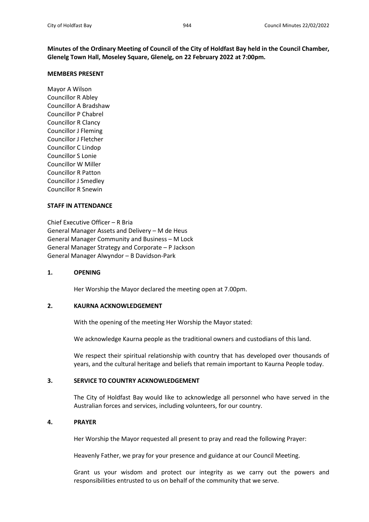**Minutes of the Ordinary Meeting of Council of the City of Holdfast Bay held in the Council Chamber, Glenelg Town Hall, Moseley Square, Glenelg, on 22 February 2022 at 7:00pm.**

### **MEMBERS PRESENT**

Mayor A Wilson Councillor R Abley Councillor A Bradshaw Councillor P Chabrel Councillor R Clancy Councillor J Fleming Councillor J Fletcher Councillor C Lindop Councillor S Lonie Councillor W Miller Councillor R Patton Councillor J Smedley Councillor R Snewin

### **STAFF IN ATTENDANCE**

Chief Executive Officer – R Bria General Manager Assets and Delivery – M de Heus General Manager Community and Business – M Lock General Manager Strategy and Corporate – P Jackson General Manager Alwyndor – B Davidson-Park

## **1. OPENING**

Her Worship the Mayor declared the meeting open at 7.00pm.

## **2. KAURNA ACKNOWLEDGEMENT**

With the opening of the meeting Her Worship the Mayor stated:

We acknowledge Kaurna people as the traditional owners and custodians of this land.

We respect their spiritual relationship with country that has developed over thousands of years, and the cultural heritage and beliefs that remain important to Kaurna People today.

## **3. SERVICE TO COUNTRY ACKNOWLEDGEMENT**

The City of Holdfast Bay would like to acknowledge all personnel who have served in the Australian forces and services, including volunteers, for our country.

## **4. PRAYER**

Her Worship the Mayor requested all present to pray and read the following Prayer:

Heavenly Father, we pray for your presence and guidance at our Council Meeting.

Grant us your wisdom and protect our integrity as we carry out the powers and responsibilities entrusted to us on behalf of the community that we serve.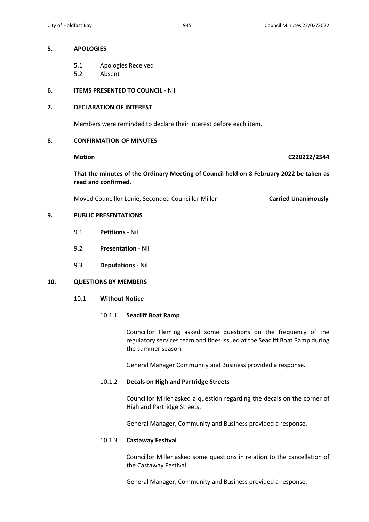## **5. APOLOGIES**

- 5.1 Apologies Received
- 5.2 Absent

# **6. ITEMS PRESENTED TO COUNCIL -** Nil

# **7. DECLARATION OF INTEREST**

Members were reminded to declare their interest before each item.

# **8. CONFIRMATION OF MINUTES**

## **Motion C220222/2544**

**That the minutes of the Ordinary Meeting of Council held on 8 February 2022 be taken as read and confirmed.**

Moved Councillor Lonie, Seconded Councillor Miller **Carried Unanimously**

# **9. PUBLIC PRESENTATIONS**

- 9.1 **Petitions** Nil
- 9.2 **Presentation** Nil
- 9.3 **Deputations** Nil

# **10. QUESTIONS BY MEMBERS**

10.1 **Without Notice**

## 10.1.1 **Seacliff Boat Ramp**

Councillor Fleming asked some questions on the frequency of the regulatory services team and fines issued at the Seacliff Boat Ramp during the summer season.

General Manager Community and Business provided a response.

# 10.1.2 **Decals on High and Partridge Streets**

Councillor Miller asked a question regarding the decals on the corner of High and Partridge Streets.

General Manager, Community and Business provided a response.

## 10.1.3 **Castaway Festival**

Councillor Miller asked some questions in relation to the cancellation of the Castaway Festival.

General Manager, Community and Business provided a response.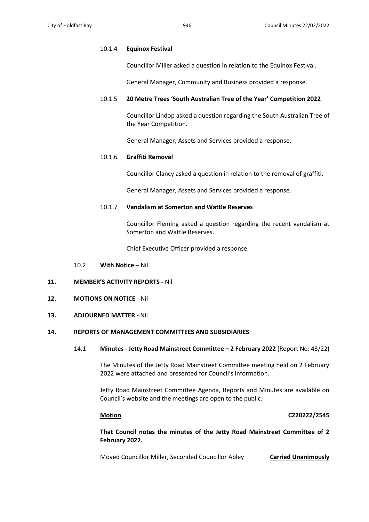## 10.1.4 **Equinox Festival**

Councillor Miller asked a question in relation to the Equinox Festival.

General Manager, Community and Business provided a response.

# 10.1.5 **20 Metre Trees 'South Australian Tree of the Year' Competition 2022**

Councillor Lindop asked a question regarding the South Australian Tree of the Year Competition.

General Manager, Assets and Services provided a response.

## 10.1.6 **Graffiti Removal**

Councillor Clancy asked a question in relation to the removal of graffiti.

General Manager, Assets and Services provided a response.

## 10.1.7 **Vandalism at Somerton and Wattle Reserves**

Councillor Fleming asked a question regarding the recent vandalism at Somerton and Wattle Reserves.

Chief Executive Officer provided a response.

10.2 **With Notice** – Nil

# **11. MEMBER'S ACTIVITY REPORTS** - Nil

**12. MOTIONS ON NOTICE** - Nil

## **13. ADJOURNED MATTER -** Nil

## **14. REPORTS OF MANAGEMENT COMMITTEES AND SUBSIDIARIES**

14.1 **Minutes - Jetty Road Mainstreet Committee – 2 February 2022** (Report No: 43/22)

The Minutes of the Jetty Road Mainstreet Committee meeting held on 2 February 2022 were attached and presented for Council's information.

Jetty Road Mainstreet Committee Agenda, Reports and Minutes are available on Council's website and the meetings are open to the public.

### **Motion C220222/2545**

**That Council notes the minutes of the Jetty Road Mainstreet Committee of 2 February 2022.**

Moved Councillor Miller, Seconded Councillor Abley **Carried Unanimously**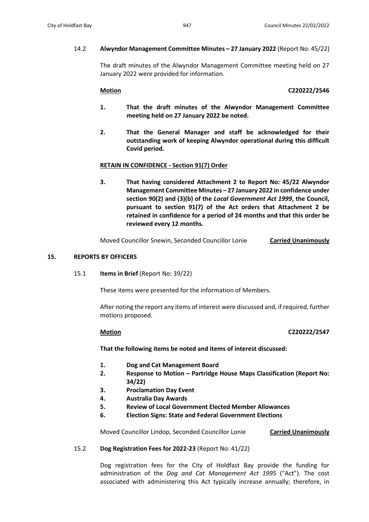The draft minutes of the Alwyndor Management Committee meeting held on 27 January 2022 were provided for information.

# **Motion C220222/2546**

- **1. That the draft minutes of the Alwyndor Management Committee meeting held on 27 January 2022 be noted.**
- **2. That the General Manager and staff be acknowledged for their outstanding work of keeping Alwyndor operational during this difficult Covid period.**

# **RETAIN IN CONFIDENCE - Section 91(7) Order**

**3. That having considered Attachment 2 to Report No: 45/22 Alwyndor Management Committee Minutes – 27 January 2022 in confidence under section 90(2) and (3)(b) of the** *Local Government Act 1999***, the Council, pursuant to section 91(7) of the Act orders that Attachment 2 be retained in confidence for a period of 24 months and that this order be reviewed every 12 months.**

Moved Councillor Snewin, Seconded Councillor Lonie **Carried Unanimously**

# **15. REPORTS BY OFFICERS**

15.1 **Items in Brief** (Report No: 39/22)

These items were presented for the information of Members.

After noting the report any items of interest were discussed and, if required, further motions proposed.

# **Motion C220222/2547**

**That the following items be noted and items of interest discussed:** 

- **1. Dog and Cat Management Board**
- **2. Response to Motion – Partridge House Maps Classification (Report No: 34/22)**
- **3. Proclamation Day Event**
- **4. Australia Day Awards**
- **5. Review of Local Government Elected Member Allowances**
- **6. Election Signs: State and Federal Government Elections**

Moved Councillor Lindop, Seconded Councillor Lonie **Carried Unanimously**

# 15.2 **Dog Registration Fees for 2022-23** (Report No: 41/22)

Dog registration fees for the City of Holdfast Bay provide the funding for administration of the *Dog and Cat Management Act 1995* ("Act"). The cost associated with administering this Act typically increase annually; therefore, in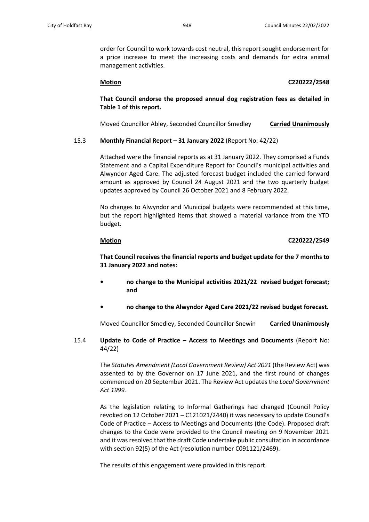order for Council to work towards cost neutral, this report sought endorsement for a price increase to meet the increasing costs and demands for extra animal management activities.

## **Motion C220222/2548**

**That Council endorse the proposed annual dog registration fees as detailed in Table 1 of this report.**

Moved Councillor Abley, Seconded Councillor Smedley **Carried Unanimously**

# 15.3 **Monthly Financial Report – 31 January 2022** (Report No: 42/22)

Attached were the financial reports as at 31 January 2022. They comprised a Funds Statement and a Capital Expenditure Report for Council's municipal activities and Alwyndor Aged Care. The adjusted forecast budget included the carried forward amount as approved by Council 24 August 2021 and the two quarterly budget updates approved by Council 26 October 2021 and 8 February 2022.

No changes to Alwyndor and Municipal budgets were recommended at this time, but the report highlighted items that showed a material variance from the YTD budget.

# **Motion C220222/2549**

**That Council receives the financial reports and budget update for the 7 months to 31 January 2022 and notes:**

- **• no change to the Municipal activities 2021/22 revised budget forecast; and**
- **• no change to the Alwyndor Aged Care 2021/22 revised budget forecast.**

Moved Councillor Smedley, Seconded Councillor Snewin **Carried Unanimously**

15.4 **Update to Code of Practice – Access to Meetings and Documents** (Report No: 44/22)

> The *Statutes Amendment (Local Government Review) Act 2021* (the Review Act) was assented to by the Governor on 17 June 2021, and the first round of changes commenced on 20 September 2021. The Review Act updates the *Local Government Act 1999.*

> As the legislation relating to Informal Gatherings had changed (Council Policy revoked on 12 October 2021 – C121021/2440) it was necessary to update Council's Code of Practice – Access to Meetings and Documents (the Code). Proposed draft changes to the Code were provided to the Council meeting on 9 November 2021 and it was resolved that the draft Code undertake public consultation in accordance with section 92(5) of the Act (resolution number C091121/2469).

The results of this engagement were provided in this report.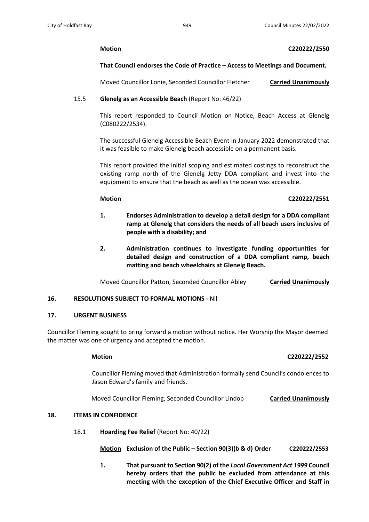## **Motion C220222/2550**

# **That Council endorses the Code of Practice – Access to Meetings and Document.**

Moved Councillor Lonie, Seconded Councillor Fletcher **Carried Unanimously**

# 15.5 **Glenelg as an Accessible Beach** (Report No: 46/22)

This report responded to Council Motion on Notice, Beach Access at Glenelg (C080222/2534).

The successful Glenelg Accessible Beach Event in January 2022 demonstrated that it was feasible to make Glenelg beach accessible on a permanent basis.

This report provided the initial scoping and estimated costings to reconstruct the existing ramp north of the Glenelg Jetty DDA compliant and invest into the equipment to ensure that the beach as well as the ocean was accessible.

## **Motion C220222/2551**

- **1. Endorses Administration to develop a detail design for a DDA compliant ramp at Glenelg that considers the needs of all beach users inclusive of people with a disability; and**
- **2. Administration continues to investigate funding opportunities for detailed design and construction of a DDA compliant ramp, beach matting and beach wheelchairs at Glenelg Beach.**

Moved Councillor Patton, Seconded Councillor Abley **Carried Unanimously**

# **16. RESOLUTIONS SUBJECT TO FORMAL MOTIONS -** Nil

## **17. URGENT BUSINESS**

Councillor Fleming sought to bring forward a motion without notice. Her Worship the Mayor deemed the matter was one of urgency and accepted the motion.

# **Motion C220222/2552**

Councillor Fleming moved that Administration formally send Council's condolences to Jason Edward's family and friends.

Moved Councillor Fleming, Seconded Councillor Lindop **Carried Unanimously**

# **18. ITEMS IN CONFIDENCE**

18.1 **Hoarding Fee Relief** (Report No: 40/22)

**Motion Exclusion of the Public – Section 90(3)(b & d) Order C220222/2553**

**1. That pursuant to Section 90(2) of the** *Local Government Act 1999* **Council hereby orders that the public be excluded from attendance at this meeting with the exception of the Chief Executive Officer and Staff in**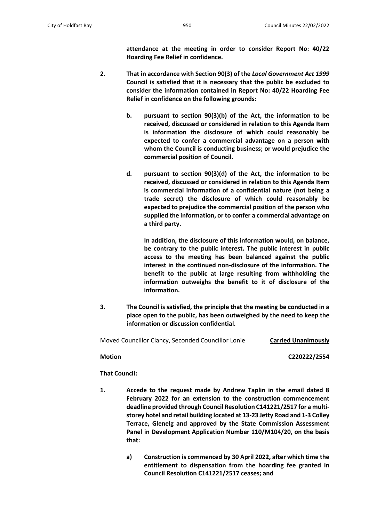**attendance at the meeting in order to consider Report No: 40/22 Hoarding Fee Relief in confidence.**

- **2. That in accordance with Section 90(3) of the** *Local Government Act 1999* **Council is satisfied that it is necessary that the public be excluded to consider the information contained in Report No: 40/22 Hoarding Fee Relief in confidence on the following grounds:**
	- **b. pursuant to section 90(3)(b) of the Act, the information to be received, discussed or considered in relation to this Agenda Item is information the disclosure of which could reasonably be expected to confer a commercial advantage on a person with whom the Council is conducting business; or would prejudice the commercial position of Council.**
	- **d. pursuant to section 90(3)(d) of the Act, the information to be received, discussed or considered in relation to this Agenda Item is commercial information of a confidential nature (not being a trade secret) the disclosure of which could reasonably be expected to prejudice the commercial position of the person who supplied the information, or to confer a commercial advantage on a third party.**

**In addition, the disclosure of this information would, on balance, be contrary to the public interest. The public interest in public access to the meeting has been balanced against the public interest in the continued non-disclosure of the information. The benefit to the public at large resulting from withholding the information outweighs the benefit to it of disclosure of the information.** 

**3. The Council is satisfied, the principle that the meeting be conducted in a place open to the public, has been outweighed by the need to keep the information or discussion confidential.**

Moved Councillor Clancy, Seconded Councillor Lonie **Carried Unanimously**

**Motion C220222/2554**

**That Council:**

- **1. Accede to the request made by Andrew Taplin in the email dated 8 February 2022 for an extension to the construction commencement deadline provided through Council Resolution C141221/2517 for a multistorey hotel and retail building located at 13-23 Jetty Road and 1-3 Colley Terrace, Glenelg and approved by the State Commission Assessment Panel in Development Application Number 110/M104/20, on the basis that:**
	- **a) Construction is commenced by 30 April 2022, after which time the entitlement to dispensation from the hoarding fee granted in Council Resolution C141221/2517 ceases; and**